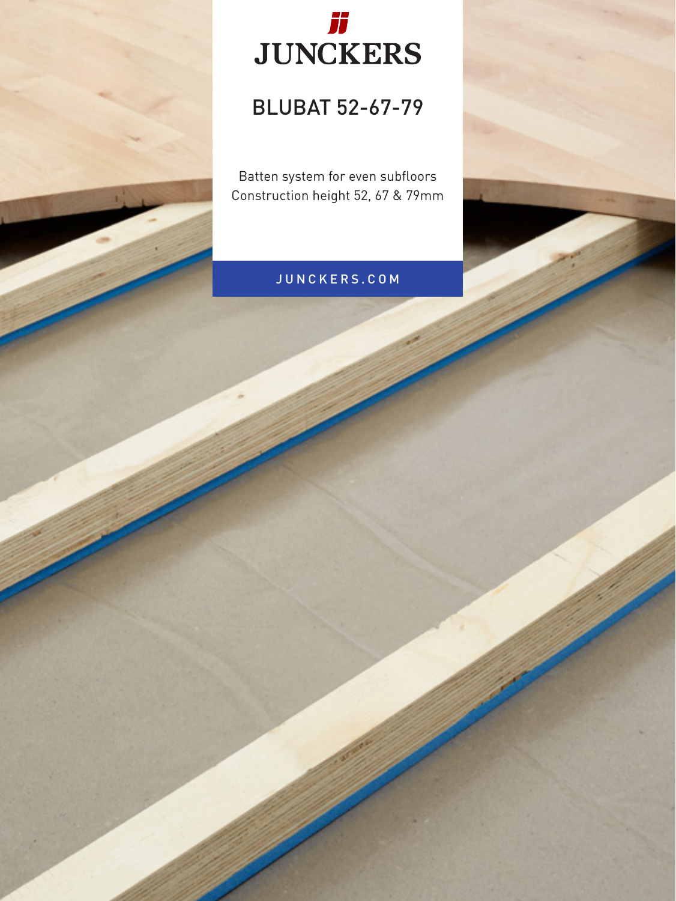

## BLUBAT 52-67-79

Batten system for even subfloors Construction height 52, 67 & 79mm

## JUNCKERS.COM